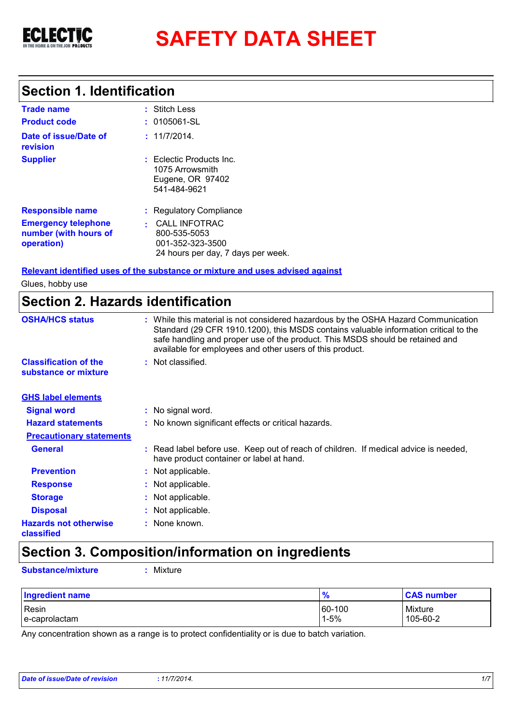

# **SAFETY DATA SHEET**

### **Section 1. Identification**

| <b>Trade name</b>                                                 | : Stitch Less                                                                                  |
|-------------------------------------------------------------------|------------------------------------------------------------------------------------------------|
| <b>Product code</b>                                               | $: 0105061-SL$                                                                                 |
| Date of issue/Date of<br>revision                                 | : 11/7/2014.                                                                                   |
| <b>Supplier</b>                                                   | $:$ Eclectic Products Inc.<br>1075 Arrowsmith<br>Eugene, OR 97402<br>541-484-9621              |
| <b>Responsible name</b>                                           | : Regulatory Compliance                                                                        |
| <b>Emergency telephone</b><br>number (with hours of<br>operation) | <b>CALL INFOTRAC</b><br>800-535-5053<br>001-352-323-3500<br>24 hours per day, 7 days per week. |

**Relevant identified uses of the substance or mixture and uses advised against**

Glues, hobby use

### **Section 2. Hazards identification**

| <b>OSHA/HCS status</b>                               | : While this material is not considered hazardous by the OSHA Hazard Communication<br>Standard (29 CFR 1910.1200), this MSDS contains valuable information critical to the<br>safe handling and proper use of the product. This MSDS should be retained and<br>available for employees and other users of this product. |
|------------------------------------------------------|-------------------------------------------------------------------------------------------------------------------------------------------------------------------------------------------------------------------------------------------------------------------------------------------------------------------------|
| <b>Classification of the</b><br>substance or mixture | : Not classified.                                                                                                                                                                                                                                                                                                       |
| <b>GHS label elements</b>                            |                                                                                                                                                                                                                                                                                                                         |
| <b>Signal word</b>                                   | : No signal word.                                                                                                                                                                                                                                                                                                       |
| <b>Hazard statements</b>                             | : No known significant effects or critical hazards.                                                                                                                                                                                                                                                                     |
| <b>Precautionary statements</b>                      |                                                                                                                                                                                                                                                                                                                         |
| <b>General</b>                                       | : Read label before use. Keep out of reach of children. If medical advice is needed,<br>have product container or label at hand.                                                                                                                                                                                        |
| <b>Prevention</b>                                    | : Not applicable.                                                                                                                                                                                                                                                                                                       |
| <b>Response</b>                                      | : Not applicable.                                                                                                                                                                                                                                                                                                       |
| <b>Storage</b>                                       | : Not applicable.                                                                                                                                                                                                                                                                                                       |
| <b>Disposal</b>                                      | : Not applicable.                                                                                                                                                                                                                                                                                                       |
| <b>Hazards not otherwise</b><br>classified           | : None known.                                                                                                                                                                                                                                                                                                           |

### **Section 3. Composition/information on ingredients**

**Substance/mixture :** Mixture

| Ingredient name | %        | <b>CAS number</b> |
|-----------------|----------|-------------------|
| Resin           | 60-100   | Mixture           |
| l e-caprolactam | $1 - 5%$ | 105-60-2          |

Any concentration shown as a range is to protect confidentiality or is due to batch variation.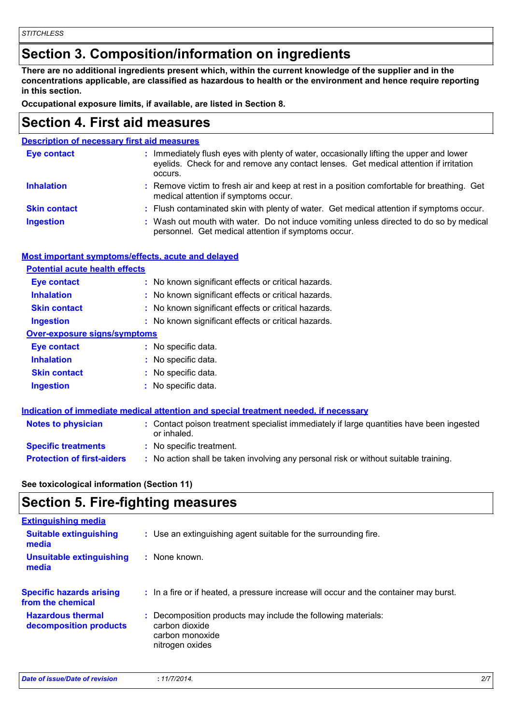### **Section 3. Composition/information on ingredients**

**There are no additional ingredients present which, within the current knowledge of the supplier and in the concentrations applicable, are classified as hazardous to health or the environment and hence require reporting in this section.**

**Occupational exposure limits, if available, are listed in Section 8.**

### **Section 4. First aid measures**

| <b>Description of necessary first aid measures</b> |                                                                                                                                                                                             |
|----------------------------------------------------|---------------------------------------------------------------------------------------------------------------------------------------------------------------------------------------------|
| <b>Eye contact</b>                                 | : Immediately flush eyes with plenty of water, occasionally lifting the upper and lower<br>eyelids. Check for and remove any contact lenses. Get medical attention if irritation<br>occurs. |
| <b>Inhalation</b>                                  | : Remove victim to fresh air and keep at rest in a position comfortable for breathing. Get<br>medical attention if symptoms occur.                                                          |
| <b>Skin contact</b>                                | : Flush contaminated skin with plenty of water. Get medical attention if symptoms occur.                                                                                                    |
| <b>Ingestion</b>                                   | : Wash out mouth with water. Do not induce vomiting unless directed to do so by medical<br>personnel. Get medical attention if symptoms occur.                                              |

#### **Most important symptoms/effects, acute and delayed**

| <b>Potential acute health effects</b> |                                                     |
|---------------------------------------|-----------------------------------------------------|
| <b>Eye contact</b>                    | : No known significant effects or critical hazards. |
| <b>Inhalation</b>                     | : No known significant effects or critical hazards. |
| <b>Skin contact</b>                   | : No known significant effects or critical hazards. |
| <b>Ingestion</b>                      | : No known significant effects or critical hazards. |
| Over-exposure signs/symptoms          |                                                     |
| <b>Eye contact</b>                    | : No specific data.                                 |
| <b>Inhalation</b>                     | : No specific data.                                 |
| <b>Skin contact</b>                   | : No specific data.                                 |
| <b>Ingestion</b>                      | : No specific data.                                 |

|                                   | Indication of immediate medical attention and special treatment needed, if necessary                    |  |
|-----------------------------------|---------------------------------------------------------------------------------------------------------|--|
| <b>Notes to physician</b>         | : Contact poison treatment specialist immediately if large quantities have been ingested<br>or inhaled. |  |
| <b>Specific treatments</b>        | : No specific treatment.                                                                                |  |
| <b>Protection of first-aiders</b> | : No action shall be taken involving any personal risk or without suitable training.                    |  |

**See toxicological information (Section 11)**

### **Section 5. Fire-fighting measures**

| <b>Extinguishing media</b>                           |                                                                                                                       |
|------------------------------------------------------|-----------------------------------------------------------------------------------------------------------------------|
| <b>Suitable extinguishing</b><br>media               | : Use an extinguishing agent suitable for the surrounding fire.                                                       |
| <b>Unsuitable extinguishing</b><br>media             | $:$ None known.                                                                                                       |
| <b>Specific hazards arising</b><br>from the chemical | : In a fire or if heated, a pressure increase will occur and the container may burst.                                 |
| <b>Hazardous thermal</b><br>decomposition products   | : Decomposition products may include the following materials:<br>carbon dioxide<br>carbon monoxide<br>nitrogen oxides |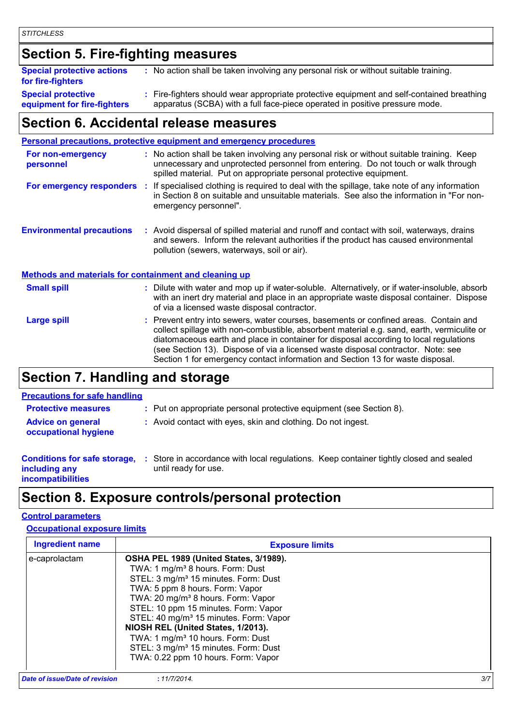### **Section 5. Fire-fighting measures**

| <b>Special protective actions</b><br>for fire-fighters   | : No action shall be taken involving any personal risk or without suitable training.                                                                                     |
|----------------------------------------------------------|--------------------------------------------------------------------------------------------------------------------------------------------------------------------------|
| <b>Special protective</b><br>equipment for fire-fighters | : Fire-fighters should wear appropriate protective equipment and self-contained breathing<br>apparatus (SCBA) with a full face-piece operated in positive pressure mode. |

### **Section 6. Accidental release measures**

| : No action shall be taken involving any personal risk or without suitable training. Keep<br>unnecessary and unprotected personnel from entering. Do not touch or walk through<br>spilled material. Put on appropriate personal protective equipment.<br>: If specialised clothing is required to deal with the spillage, take note of any information<br>in Section 8 on suitable and unsuitable materials. See also the information in "For non-<br>emergency personnel".<br>: Avoid dispersal of spilled material and runoff and contact with soil, waterways, drains |
|--------------------------------------------------------------------------------------------------------------------------------------------------------------------------------------------------------------------------------------------------------------------------------------------------------------------------------------------------------------------------------------------------------------------------------------------------------------------------------------------------------------------------------------------------------------------------|
|                                                                                                                                                                                                                                                                                                                                                                                                                                                                                                                                                                          |
|                                                                                                                                                                                                                                                                                                                                                                                                                                                                                                                                                                          |
| and sewers. Inform the relevant authorities if the product has caused environmental<br>pollution (sewers, waterways, soil or air).                                                                                                                                                                                                                                                                                                                                                                                                                                       |
| <b>Methods and materials for containment and cleaning up</b>                                                                                                                                                                                                                                                                                                                                                                                                                                                                                                             |
| : Dilute with water and mop up if water-soluble. Alternatively, or if water-insoluble, absorb<br>with an inert dry material and place in an appropriate waste disposal container. Dispose<br>of via a licensed waste disposal contractor.                                                                                                                                                                                                                                                                                                                                |
| : Prevent entry into sewers, water courses, basements or confined areas. Contain and<br>collect spillage with non-combustible, absorbent material e.g. sand, earth, vermiculite or<br>diatomaceous earth and place in container for disposal according to local regulations<br>(see Section 13). Dispose of via a licensed waste disposal contractor. Note: see<br>Section 1 for emergency contact information and Section 13 for waste disposal.                                                                                                                        |
|                                                                                                                                                                                                                                                                                                                                                                                                                                                                                                                                                                          |

### **Section 7. Handling and storage**

### **Precautions for safe handling**

| <b>FIGURIOUS TOP SAIG HAHUIHING</b>                                              |                                                                                                                |
|----------------------------------------------------------------------------------|----------------------------------------------------------------------------------------------------------------|
| <b>Protective measures</b>                                                       | : Put on appropriate personal protective equipment (see Section 8).                                            |
| <b>Advice on general</b><br>occupational hygiene                                 | : Avoid contact with eyes, skin and clothing. Do not ingest.                                                   |
| <b>Conditions for safe storage,</b><br>including any<br><b>incompatibilities</b> | : Store in accordance with local regulations. Keep container tightly closed and sealed<br>until ready for use. |

### **Section 8. Exposure controls/personal protection**

#### **Control parameters**

#### **Occupational exposure limits**

| <b>Ingredient name</b>         | <b>Exposure limits</b>                                                                                                                                                                                                                                                                                                                                                                                                                                                                                          |     |
|--------------------------------|-----------------------------------------------------------------------------------------------------------------------------------------------------------------------------------------------------------------------------------------------------------------------------------------------------------------------------------------------------------------------------------------------------------------------------------------------------------------------------------------------------------------|-----|
| e-caprolactam                  | OSHA PEL 1989 (United States, 3/1989).<br>TWA: 1 mg/m <sup>3</sup> 8 hours. Form: Dust<br>STEL: 3 mg/m <sup>3</sup> 15 minutes. Form: Dust<br>TWA: 5 ppm 8 hours. Form: Vapor<br>TWA: 20 mg/m <sup>3</sup> 8 hours. Form: Vapor<br>STEL: 10 ppm 15 minutes. Form: Vapor<br>STEL: 40 mg/m <sup>3</sup> 15 minutes. Form: Vapor<br>NIOSH REL (United States, 1/2013).<br>TWA: 1 mg/m <sup>3</sup> 10 hours. Form: Dust<br>STEL: 3 mg/m <sup>3</sup> 15 minutes. Form: Dust<br>TWA: 0.22 ppm 10 hours. Form: Vapor |     |
| Date of issue/Date of revision | : 11/7/2014.                                                                                                                                                                                                                                                                                                                                                                                                                                                                                                    | 3/7 |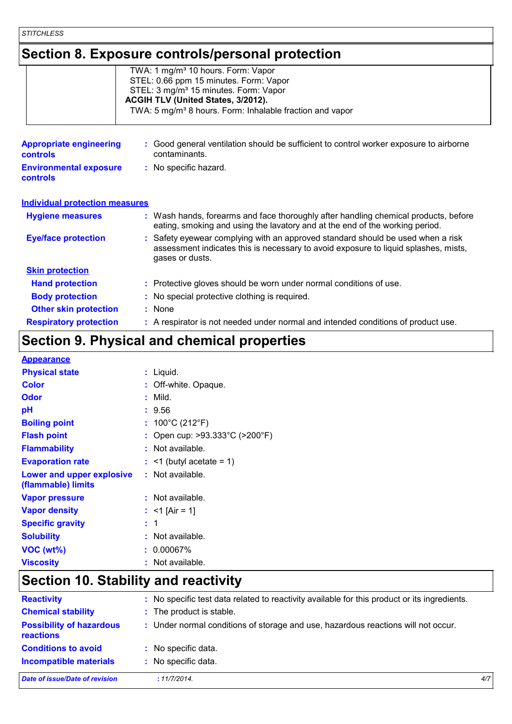*STITCHLESS*

### **Section 8. Exposure controls/personal protection**

| TWA: 1 mg/m <sup>3</sup> 10 hours. Form: Vapor                       |
|----------------------------------------------------------------------|
| STEL: 0.66 ppm 15 minutes. Form: Vapor                               |
| STEL: 3 mg/m <sup>3</sup> 15 minutes. Form: Vapor                    |
| ACGIH TLV (United States, 3/2012).                                   |
| TWA: 5 mg/m <sup>3</sup> 8 hours. Form: Inhalable fraction and vapor |
|                                                                      |

| <b>Appropriate engineering</b><br><b>controls</b> | : Good general ventilation should be sufficient to control worker exposure to airborne<br>contaminants.                                                                                   |  |
|---------------------------------------------------|-------------------------------------------------------------------------------------------------------------------------------------------------------------------------------------------|--|
| <b>Environmental exposure</b><br><b>controls</b>  | : No specific hazard.                                                                                                                                                                     |  |
| <b>Individual protection measures</b>             |                                                                                                                                                                                           |  |
| <b>Hygiene measures</b>                           | : Wash hands, forearms and face thoroughly after handling chemical products, before<br>eating, smoking and using the lavatory and at the end of the working period.                       |  |
| <b>Eye/face protection</b>                        | : Safety eyewear complying with an approved standard should be used when a risk<br>assessment indicates this is necessary to avoid exposure to liquid splashes, mists,<br>gases or dusts. |  |
| <b>Skin protection</b>                            |                                                                                                                                                                                           |  |
| <b>Hand protection</b>                            | : Protective gloves should be worn under normal conditions of use.                                                                                                                        |  |
| <b>Body protection</b>                            | : No special protective clothing is required.                                                                                                                                             |  |
| <b>Other skin protection</b>                      | : None                                                                                                                                                                                    |  |
| <b>Respiratory protection</b>                     | : A respirator is not needed under normal and intended conditions of product use.                                                                                                         |  |

## **Section 9. Physical and chemical properties**

| <b>Appearance</b>                               |                                                     |
|-------------------------------------------------|-----------------------------------------------------|
| <b>Physical state</b>                           | : Liquid.                                           |
| <b>Color</b>                                    | : Off-white. Opaque.                                |
| <b>Odor</b>                                     | $:$ Mild.                                           |
| pH                                              | : 9.56                                              |
| <b>Boiling point</b>                            | : $100^{\circ}$ C (212 $^{\circ}$ F)                |
| <b>Flash point</b>                              | : Open cup: $>93.333^{\circ}$ C ( $>200^{\circ}$ F) |
| <b>Flammability</b>                             | : Not available.                                    |
| <b>Evaporation rate</b>                         | $:$ <1 (butyl acetate = 1)                          |
| Lower and upper explosive<br>(flammable) limits | : Not available.                                    |
| <b>Vapor pressure</b>                           | : Not available.                                    |
| <b>Vapor density</b>                            | : $<$ 1 [Air = 1]                                   |
| <b>Specific gravity</b>                         | $\therefore$ 1                                      |
| <b>Solubility</b>                               | : Not available.                                    |
| VOC (wt%)                                       | $: 0.00067\%$                                       |
| <b>Viscosity</b>                                | : Not available.                                    |

### **Section 10. Stability and reactivity**

| <b>Reactivity</b>                                   | : No specific test data related to reactivity available for this product or its ingredients. |     |  |  |  |  |
|-----------------------------------------------------|----------------------------------------------------------------------------------------------|-----|--|--|--|--|
| <b>Chemical stability</b>                           | : The product is stable.                                                                     |     |  |  |  |  |
| <b>Possibility of hazardous</b><br><b>reactions</b> | : Under normal conditions of storage and use, hazardous reactions will not occur.            |     |  |  |  |  |
| <b>Conditions to avoid</b>                          | : No specific data.                                                                          |     |  |  |  |  |
| <b>Incompatible materials</b>                       | : No specific data.                                                                          |     |  |  |  |  |
| <b>Date of issue/Date of revision</b>               | :11/7/2014.                                                                                  | 4/7 |  |  |  |  |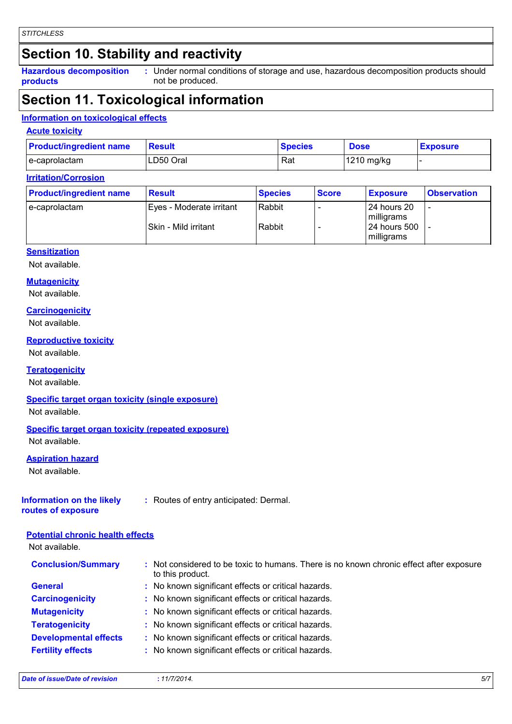### **Section 10. Stability and reactivity**

**Hazardous decomposition products**

Under normal conditions of storage and use, hazardous decomposition products should **:** not be produced.

### **Section 11. Toxicological information**

#### **Information on toxicological effects**

#### **Acute toxicity**

| <b>Product/ingredient name</b> | <b>Result</b> | <b>Species</b> | <b>Dose</b> | <b>Exposure</b> |
|--------------------------------|---------------|----------------|-------------|-----------------|
| l e-caprolactam                | LD50 Oral     | Rat            | 1210 mg/kg  |                 |

#### **Irritation/Corrosion**

| <b>Product/ingredient name</b> | <b>Result</b>            | <b>Species</b> | <b>Score</b> | <b>Exposure</b>             | <b>Observation</b> |  |
|--------------------------------|--------------------------|----------------|--------------|-----------------------------|--------------------|--|
| e-caprolactam                  | Eyes - Moderate irritant | Rabbit         |              | l 24 hours 20<br>milligrams | <b>11</b>          |  |
|                                | ISkin - Mild irritant    | Rabbit         |              | 124 hours 500<br>milligrams |                    |  |

#### **Sensitization**

Not available.

#### **Mutagenicity**

Not available.

#### **Carcinogenicity**

Not available.

#### **Reproductive toxicity**

Not available.

#### **Teratogenicity**

Not available.

#### **Specific target organ toxicity (single exposure)**

Not available.

#### **Specific target organ toxicity (repeated exposure)**

Not available.

#### **Aspiration hazard**

Not available.

### **Information on the likely**

**:** Routes of entry anticipated: Dermal.

**routes of exposure**

#### **Potential chronic health effects**

Not available.

| <b>Conclusion/Summary</b>    | : Not considered to be toxic to humans. There is no known chronic effect after exposure<br>to this product. |
|------------------------------|-------------------------------------------------------------------------------------------------------------|
| <b>General</b>               | : No known significant effects or critical hazards.                                                         |
| <b>Carcinogenicity</b>       | : No known significant effects or critical hazards.                                                         |
| <b>Mutagenicity</b>          | : No known significant effects or critical hazards.                                                         |
| <b>Teratogenicity</b>        | : No known significant effects or critical hazards.                                                         |
| <b>Developmental effects</b> | : No known significant effects or critical hazards.                                                         |
| <b>Fertility effects</b>     | : No known significant effects or critical hazards.                                                         |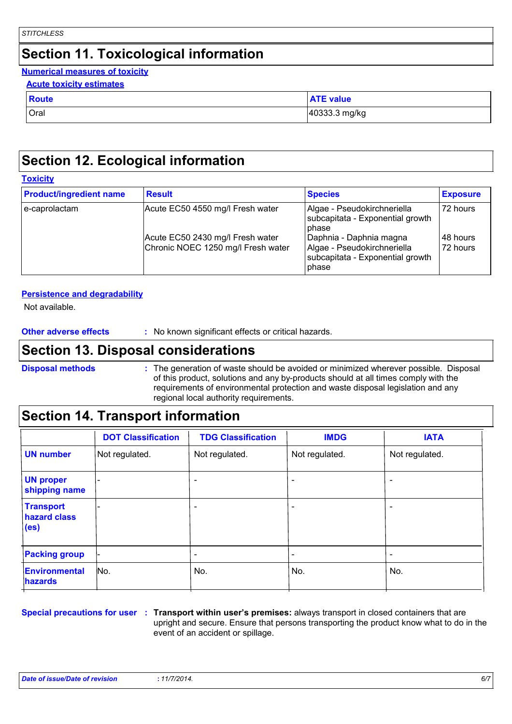### **Section 11. Toxicological information**

#### **Numerical measures of toxicity**

|  | <b>Acute toxicity estimates</b> |
|--|---------------------------------|
|  |                                 |

| <b>Route</b> | <b>ATE value</b> |
|--------------|------------------|
| Oral         | 40333.3 mg/kg    |

### **Section 12. Ecological information**

| Toxicitv |  |
|----------|--|
|          |  |

| <b>Product/ingredient name</b> | <b>Result</b>                                                          | <b>Species</b>                                                                                      | <b>Exposure</b>      |
|--------------------------------|------------------------------------------------------------------------|-----------------------------------------------------------------------------------------------------|----------------------|
| e-caprolactam                  | Acute EC50 4550 mg/l Fresh water                                       | Algae - Pseudokirchneriella<br>subcapitata - Exponential growth<br><b>bhase</b>                     | 72 hours             |
|                                | Acute EC50 2430 mg/l Fresh water<br>Chronic NOEC 1250 mg/l Fresh water | Daphnia - Daphnia magna<br>Algae - Pseudokirchneriella<br>subcapitata - Exponential growth<br>phase | 48 hours<br>72 hours |

#### **Persistence and degradability**

Not available.

### **Section 13. Disposal considerations**

**Disposal methods :**

The generation of waste should be avoided or minimized wherever possible. Disposal of this product, solutions and any by-products should at all times comply with the requirements of environmental protection and waste disposal legislation and any regional local authority requirements.

### **Section 14. Transport information**

|                                                       | <b>DOT Classification</b> | <b>TDG Classification</b> | <b>IMDG</b>              | <b>IATA</b>     |
|-------------------------------------------------------|---------------------------|---------------------------|--------------------------|-----------------|
| <b>UN number</b>                                      | Not regulated.            | Not regulated.            | Not regulated.           | Not regulated.  |
| <b>UN proper</b><br>shipping name                     |                           | -                         | ۰                        |                 |
| <b>Transport</b><br>hazard class<br>(e <sub>s</sub> ) |                           | $\overline{\phantom{a}}$  | $\overline{\phantom{0}}$ | ٠               |
| <b>Packing group</b>                                  |                           |                           | $\overline{\phantom{a}}$ | $\qquad \qquad$ |
| Environmental<br>hazards                              | No.                       | No.                       | No.                      | No.             |

**Special precautions for user** : Transport within user's premises: always transport in closed containers that are upright and secure. Ensure that persons transporting the product know what to do in the event of an accident or spillage.